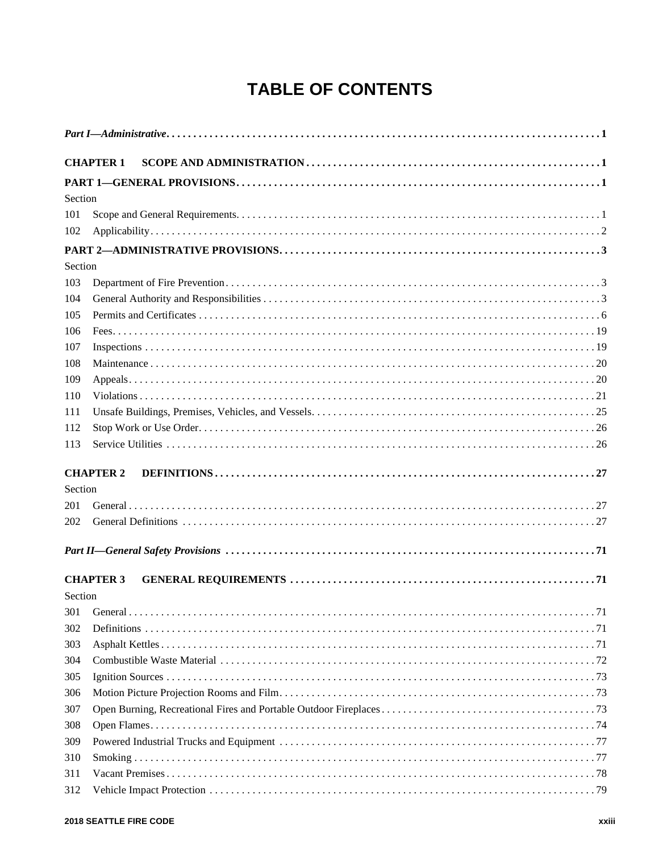## **TABLE OF CONTENTS**

|         | <b>CHAPTER 1</b> |  |  |
|---------|------------------|--|--|
|         |                  |  |  |
| Section |                  |  |  |
| 101     |                  |  |  |
| 102     |                  |  |  |
|         |                  |  |  |
| Section |                  |  |  |
| 103     |                  |  |  |
| 104     |                  |  |  |
| 105     |                  |  |  |
| 106     |                  |  |  |
| 107     |                  |  |  |
| 108     |                  |  |  |
| 109     |                  |  |  |
| 110     |                  |  |  |
| 111     |                  |  |  |
| 112     |                  |  |  |
| 113     |                  |  |  |
|         | <b>CHAPTER 2</b> |  |  |
| Section |                  |  |  |
| 201     |                  |  |  |
| 202     |                  |  |  |
|         |                  |  |  |
|         | <b>CHAPTER 3</b> |  |  |
| Section |                  |  |  |
| 301     |                  |  |  |
| 302     |                  |  |  |
| 303     |                  |  |  |
| 304     |                  |  |  |
| 305     |                  |  |  |
| 306     |                  |  |  |
| 307     |                  |  |  |
| 308     |                  |  |  |
| 309     |                  |  |  |
| 310     |                  |  |  |
| 311     |                  |  |  |
| 312     |                  |  |  |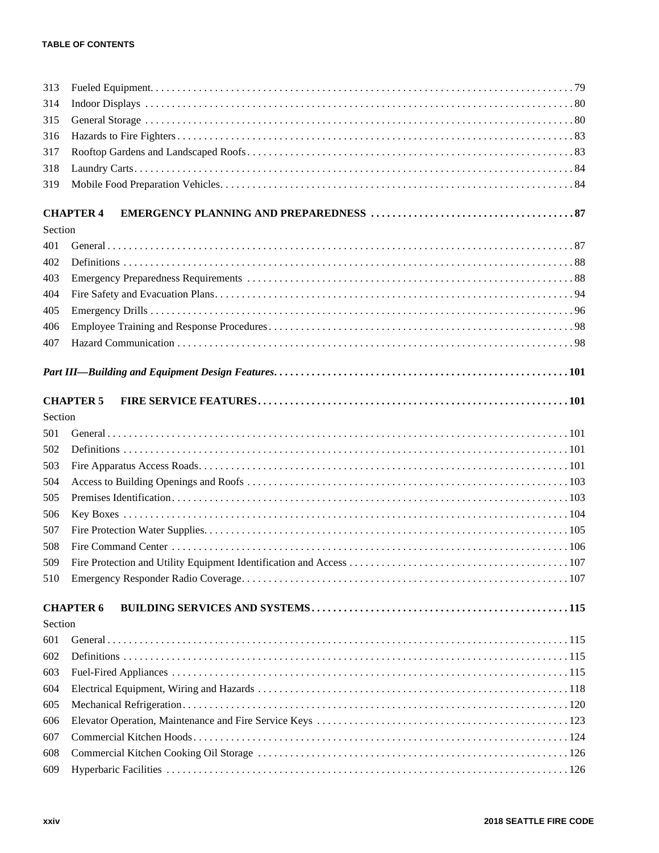## **TABLE OF CONTENTS**

| 313     |                  |
|---------|------------------|
| 314     |                  |
| 315     |                  |
| 316     |                  |
| 317     |                  |
| 318     |                  |
| 319     |                  |
|         | <b>CHAPTER 4</b> |
| Section |                  |
| 401     |                  |
| 402     |                  |
| 403     |                  |
| 404     |                  |
| 405     |                  |
| 406     |                  |
| 407     |                  |
|         |                  |
|         |                  |
|         | <b>CHAPTER 5</b> |
| Section |                  |
| 501     |                  |
| 502     |                  |
| 503     |                  |
| 504     |                  |
| 505     |                  |
| 506     |                  |
| 507     |                  |
| 508     |                  |
| 509     |                  |
| 510     |                  |
|         | <b>CHAPTER 6</b> |
| Section |                  |
| 601     |                  |
| 602     |                  |
| 603     |                  |
| 604     |                  |
| 605     |                  |
| 606     |                  |
| 607     |                  |
| 608     |                  |
| 609     |                  |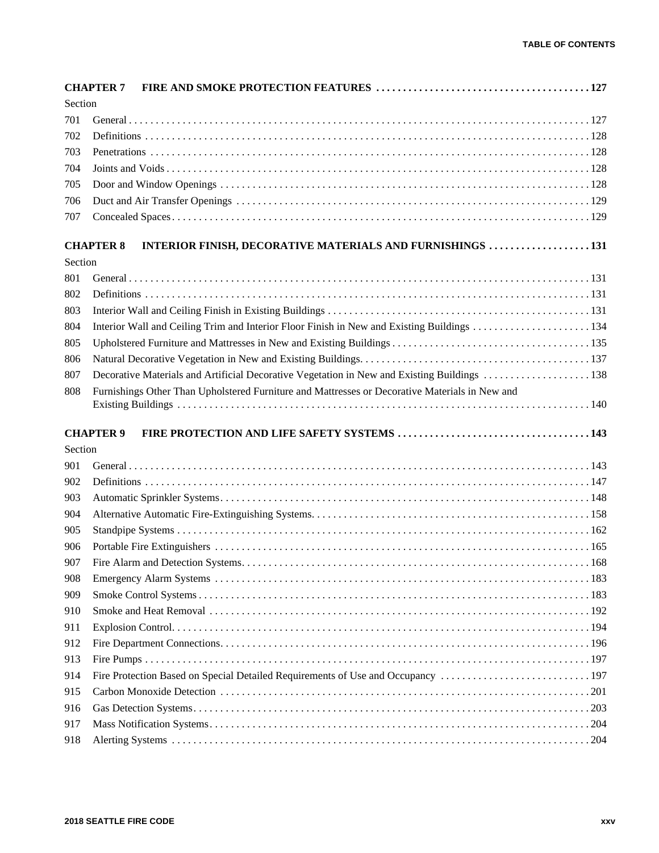|            | <b>CHAPTER 7</b>                                                                               |
|------------|------------------------------------------------------------------------------------------------|
| Section    |                                                                                                |
| 701        |                                                                                                |
| 702        |                                                                                                |
| 703        |                                                                                                |
| 704        |                                                                                                |
| 705        |                                                                                                |
| 706        |                                                                                                |
| 707        |                                                                                                |
|            |                                                                                                |
| Section    | <b>CHAPTER 8</b><br>INTERIOR FINISH, DECORATIVE MATERIALS AND FURNISHINGS 131                  |
|            |                                                                                                |
| 801        |                                                                                                |
| 802        |                                                                                                |
| 803        |                                                                                                |
| 804        |                                                                                                |
| 805        |                                                                                                |
| 806        |                                                                                                |
| 807        |                                                                                                |
| 808        | Furnishings Other Than Upholstered Furniture and Mattresses or Decorative Materials in New and |
|            |                                                                                                |
|            | <b>CHAPTER 9</b>                                                                               |
| Section    |                                                                                                |
| 901        |                                                                                                |
| 902        |                                                                                                |
| 903        |                                                                                                |
| 904        |                                                                                                |
| 905        |                                                                                                |
| 906        |                                                                                                |
| 907        |                                                                                                |
| 908        |                                                                                                |
| 909        |                                                                                                |
| 910        |                                                                                                |
| 911        |                                                                                                |
| 912        |                                                                                                |
| 913        |                                                                                                |
| 914        | Fire Protection Based on Special Detailed Requirements of Use and Occupancy 197                |
| 915        |                                                                                                |
| 916        |                                                                                                |
|            |                                                                                                |
|            |                                                                                                |
| 917<br>918 |                                                                                                |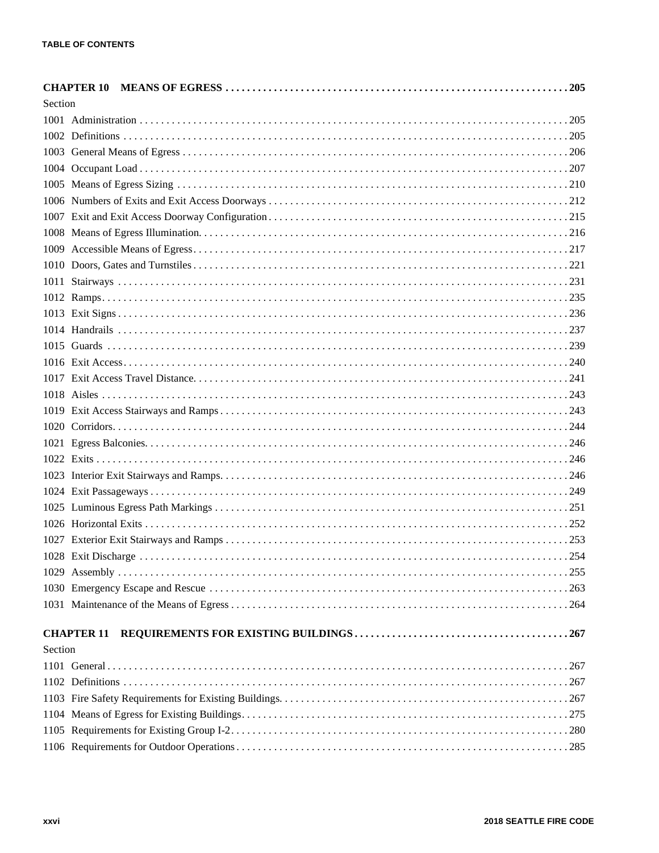| Section |  |
|---------|--|
|         |  |
|         |  |
|         |  |
|         |  |
|         |  |
|         |  |
|         |  |
|         |  |
|         |  |
|         |  |
|         |  |
|         |  |
|         |  |
|         |  |
|         |  |
|         |  |
|         |  |
|         |  |
|         |  |
|         |  |
|         |  |
|         |  |
|         |  |
|         |  |
|         |  |
|         |  |
|         |  |
|         |  |
|         |  |
|         |  |
|         |  |
|         |  |
| Section |  |
|         |  |
|         |  |
|         |  |
|         |  |
|         |  |
|         |  |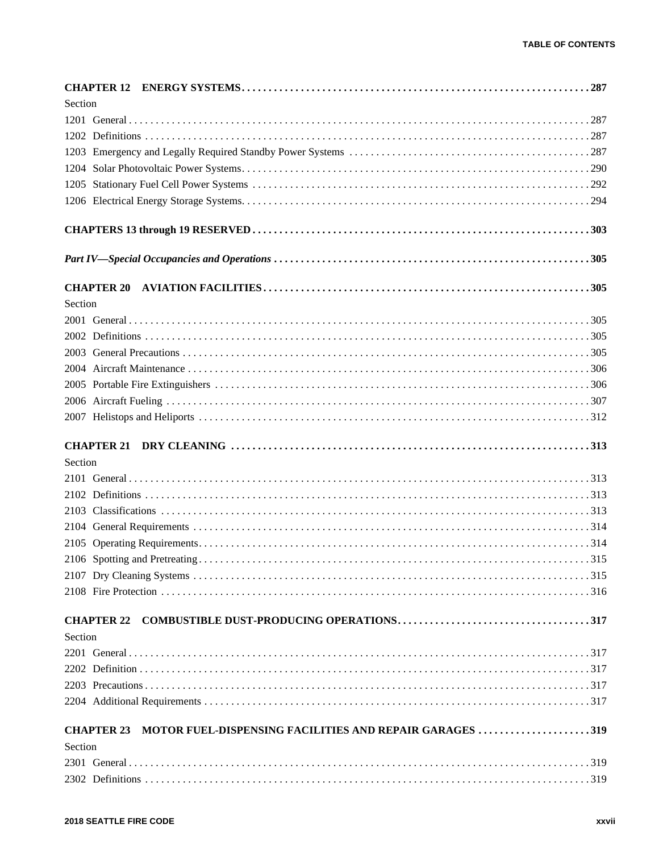| Section |                   |                                                         |  |
|---------|-------------------|---------------------------------------------------------|--|
|         |                   |                                                         |  |
|         |                   |                                                         |  |
|         |                   |                                                         |  |
|         |                   |                                                         |  |
|         |                   |                                                         |  |
|         |                   |                                                         |  |
|         |                   |                                                         |  |
|         |                   |                                                         |  |
|         |                   |                                                         |  |
| Section |                   |                                                         |  |
|         |                   |                                                         |  |
|         |                   |                                                         |  |
|         |                   |                                                         |  |
|         |                   |                                                         |  |
|         |                   |                                                         |  |
|         |                   |                                                         |  |
|         |                   |                                                         |  |
|         |                   |                                                         |  |
| Section |                   |                                                         |  |
|         |                   |                                                         |  |
|         |                   |                                                         |  |
|         |                   |                                                         |  |
|         |                   |                                                         |  |
|         |                   |                                                         |  |
|         |                   |                                                         |  |
|         |                   |                                                         |  |
|         |                   |                                                         |  |
|         |                   |                                                         |  |
| Section |                   |                                                         |  |
|         |                   |                                                         |  |
|         |                   |                                                         |  |
|         |                   |                                                         |  |
|         |                   |                                                         |  |
|         | <b>CHAPTER 23</b> | MOTOR FUEL-DISPENSING FACILITIES AND REPAIR GARAGES 319 |  |
| Section |                   |                                                         |  |
|         |                   |                                                         |  |
|         |                   |                                                         |  |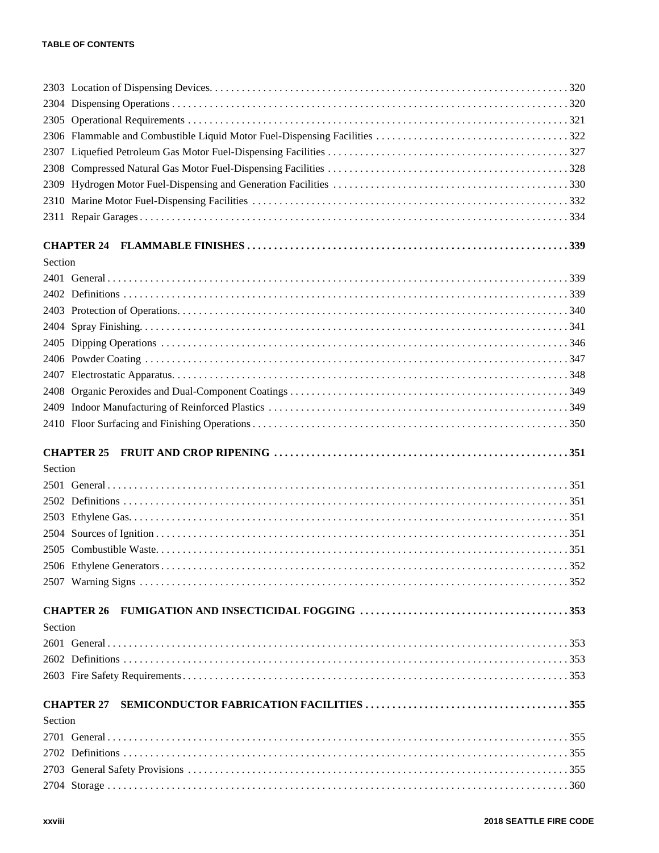| Section |  |
|---------|--|
|         |  |
|         |  |
|         |  |
|         |  |
|         |  |
|         |  |
|         |  |
|         |  |
|         |  |
|         |  |
|         |  |
| Section |  |
|         |  |
|         |  |
|         |  |
|         |  |
|         |  |
|         |  |
|         |  |
| Section |  |
|         |  |
|         |  |
|         |  |
|         |  |
|         |  |
| Section |  |
|         |  |
|         |  |
|         |  |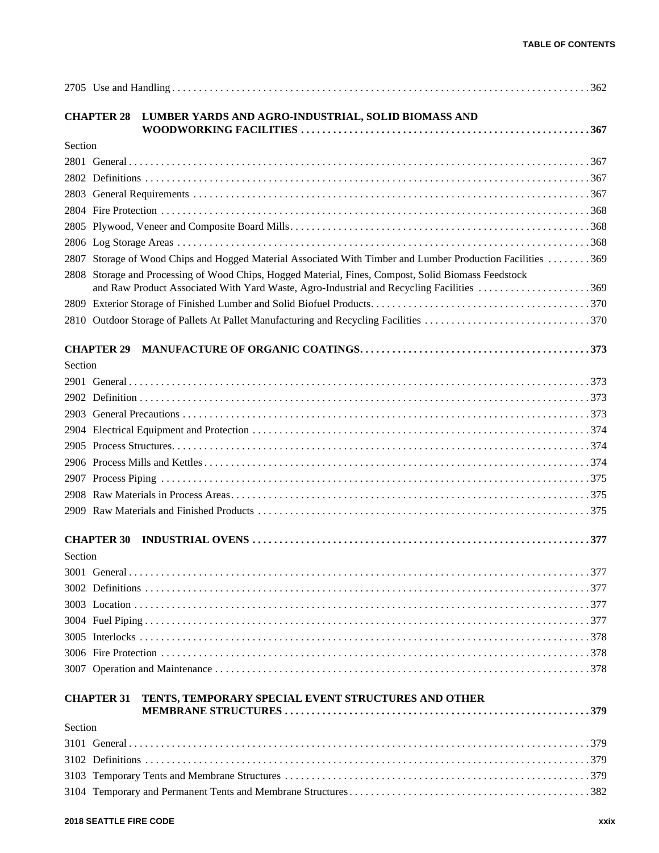|         | <b>CHAPTER 28</b><br>LUMBER YARDS AND AGRO-INDUSTRIAL, SOLID BIOMASS AND                                                                                                                   |
|---------|--------------------------------------------------------------------------------------------------------------------------------------------------------------------------------------------|
| Section |                                                                                                                                                                                            |
|         |                                                                                                                                                                                            |
|         |                                                                                                                                                                                            |
|         |                                                                                                                                                                                            |
|         |                                                                                                                                                                                            |
|         |                                                                                                                                                                                            |
|         |                                                                                                                                                                                            |
|         | 2807 Storage of Wood Chips and Hogged Material Associated With Timber and Lumber Production Facilities 369                                                                                 |
| 2808    | Storage and Processing of Wood Chips, Hogged Material, Fines, Compost, Solid Biomass Feedstock<br>and Raw Product Associated With Yard Waste, Agro-Industrial and Recycling Facilities 369 |
|         |                                                                                                                                                                                            |
|         |                                                                                                                                                                                            |
|         | <b>CHAPTER 29</b>                                                                                                                                                                          |
| Section |                                                                                                                                                                                            |
|         |                                                                                                                                                                                            |
|         |                                                                                                                                                                                            |
|         |                                                                                                                                                                                            |
|         |                                                                                                                                                                                            |
|         |                                                                                                                                                                                            |
|         |                                                                                                                                                                                            |
|         |                                                                                                                                                                                            |
|         |                                                                                                                                                                                            |
|         |                                                                                                                                                                                            |
| Section | <b>CHAPTER 30</b>                                                                                                                                                                          |
|         |                                                                                                                                                                                            |
|         |                                                                                                                                                                                            |
|         |                                                                                                                                                                                            |
|         |                                                                                                                                                                                            |
|         |                                                                                                                                                                                            |
|         |                                                                                                                                                                                            |
|         |                                                                                                                                                                                            |
|         | <b>CHAPTER 31</b><br>TENTS, TEMPORARY SPECIAL EVENT STRUCTURES AND OTHER                                                                                                                   |
| Section |                                                                                                                                                                                            |
|         |                                                                                                                                                                                            |
|         |                                                                                                                                                                                            |
|         |                                                                                                                                                                                            |
|         |                                                                                                                                                                                            |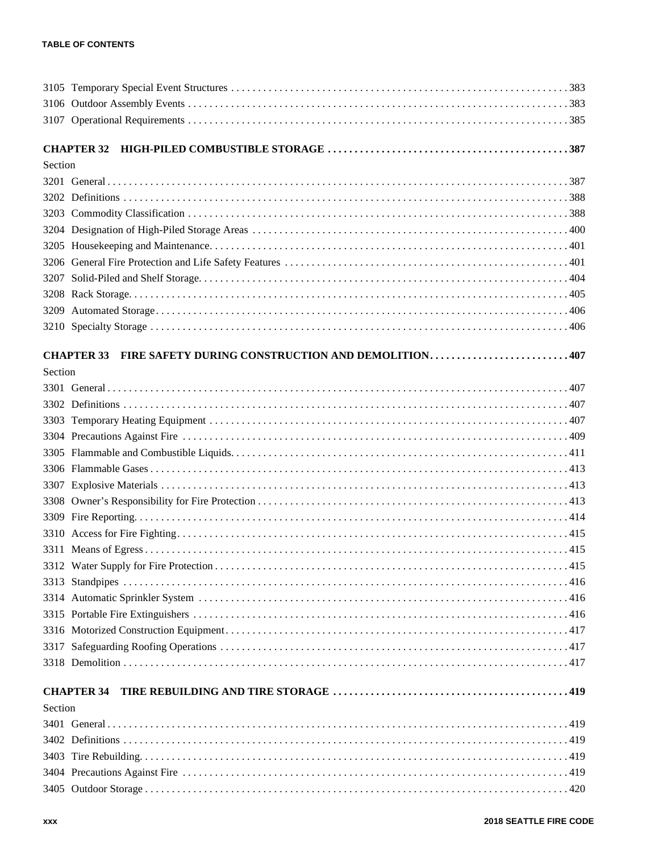|         | <b>CHAPTER 32</b>                                                      |
|---------|------------------------------------------------------------------------|
| Section |                                                                        |
|         |                                                                        |
|         |                                                                        |
|         |                                                                        |
|         |                                                                        |
| 3205    |                                                                        |
|         |                                                                        |
|         |                                                                        |
|         |                                                                        |
| 3209    |                                                                        |
|         |                                                                        |
|         | FIRE SAFETY DURING CONSTRUCTION AND DEMOLITION407<br><b>CHAPTER 33</b> |
| Section |                                                                        |
|         |                                                                        |
|         |                                                                        |
|         |                                                                        |
|         |                                                                        |
|         |                                                                        |
|         |                                                                        |
|         |                                                                        |
|         |                                                                        |
|         |                                                                        |
|         |                                                                        |
|         |                                                                        |
|         |                                                                        |
|         |                                                                        |
|         |                                                                        |
|         |                                                                        |
|         |                                                                        |
|         |                                                                        |
|         |                                                                        |
|         | <b>CHAPTER 34</b>                                                      |
| Section |                                                                        |
|         |                                                                        |
|         |                                                                        |
|         |                                                                        |
|         |                                                                        |
|         |                                                                        |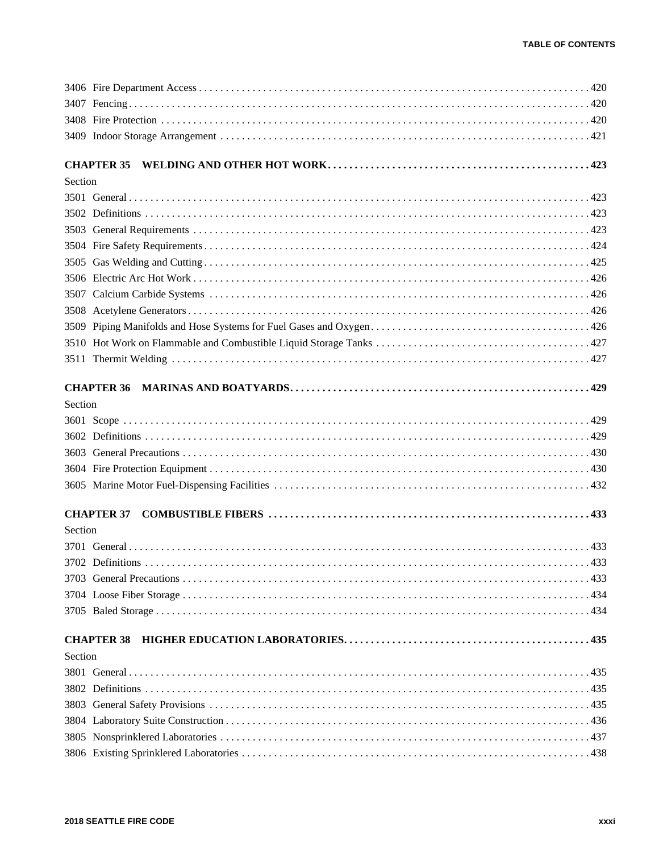|         | <b>CHAPTER 35</b> |
|---------|-------------------|
| Section |                   |
|         |                   |
|         |                   |
|         |                   |
|         |                   |
|         |                   |
|         |                   |
|         |                   |
|         |                   |
|         |                   |
|         |                   |
|         |                   |
|         |                   |
| Section |                   |
|         |                   |
|         |                   |
|         |                   |
|         |                   |
|         |                   |
|         | <b>CHAPTER 37</b> |
| Section |                   |
|         |                   |
|         |                   |
|         |                   |
|         |                   |
|         |                   |
|         | <b>CHAPTER 38</b> |
| Section |                   |
|         |                   |
|         |                   |
|         |                   |
|         |                   |
|         |                   |
|         |                   |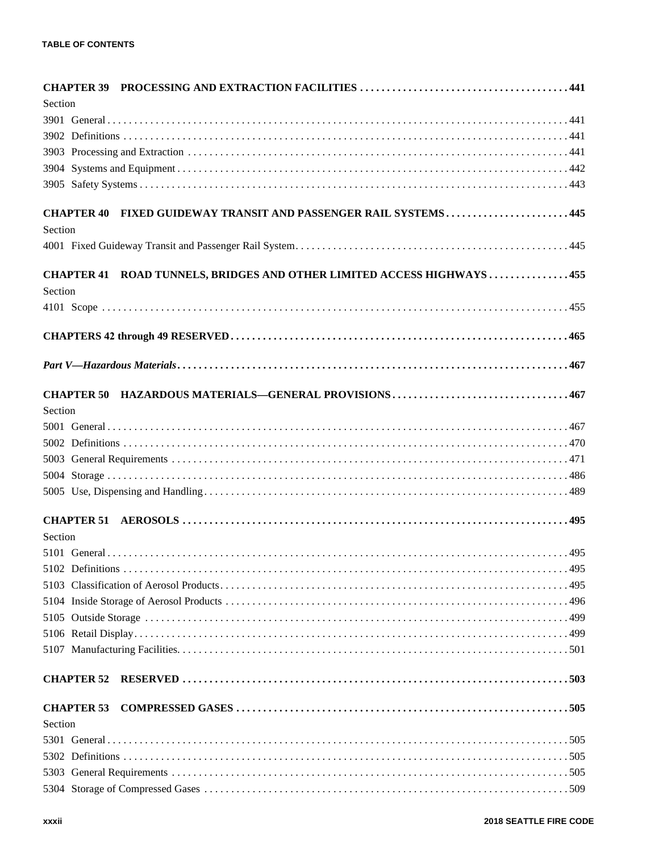| Section           |                                                                        |
|-------------------|------------------------------------------------------------------------|
|                   |                                                                        |
|                   |                                                                        |
|                   |                                                                        |
|                   |                                                                        |
|                   |                                                                        |
| <b>CHAPTER 40</b> | FIXED GUIDEWAY TRANSIT AND PASSENGER RAIL SYSTEMS445                   |
| Section           |                                                                        |
|                   |                                                                        |
|                   | CHAPTER 41 ROAD TUNNELS, BRIDGES AND OTHER LIMITED ACCESS HIGHWAYS 455 |
| Section           |                                                                        |
|                   |                                                                        |
|                   |                                                                        |
|                   |                                                                        |
|                   |                                                                        |
| <b>CHAPTER 50</b> |                                                                        |
| Section           |                                                                        |
|                   |                                                                        |
|                   |                                                                        |
|                   |                                                                        |
|                   |                                                                        |
|                   |                                                                        |
|                   |                                                                        |
| Section           |                                                                        |
|                   |                                                                        |
|                   |                                                                        |
|                   |                                                                        |
|                   |                                                                        |
|                   |                                                                        |
|                   |                                                                        |
|                   |                                                                        |
| <b>CHAPTER 52</b> |                                                                        |
| <b>CHAPTER 53</b> |                                                                        |
| Section           |                                                                        |
|                   |                                                                        |
|                   |                                                                        |
|                   |                                                                        |
|                   |                                                                        |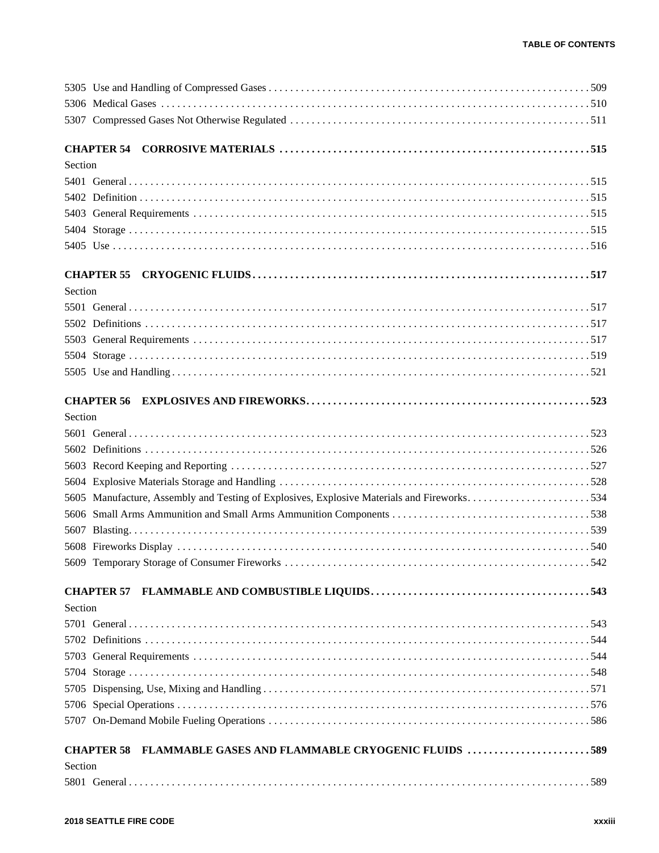| Section                                                                                    |  |
|--------------------------------------------------------------------------------------------|--|
| FLAMMABLE GASES AND FLAMMABLE CRYOGENIC FLUIDS 589<br><b>CHAPTER 58</b>                    |  |
|                                                                                            |  |
|                                                                                            |  |
|                                                                                            |  |
|                                                                                            |  |
|                                                                                            |  |
|                                                                                            |  |
|                                                                                            |  |
| Section                                                                                    |  |
|                                                                                            |  |
|                                                                                            |  |
|                                                                                            |  |
|                                                                                            |  |
|                                                                                            |  |
| 5605 Manufacture, Assembly and Testing of Explosives, Explosive Materials and Fireworks534 |  |
|                                                                                            |  |
|                                                                                            |  |
|                                                                                            |  |
|                                                                                            |  |
| Section                                                                                    |  |
|                                                                                            |  |
|                                                                                            |  |
|                                                                                            |  |
|                                                                                            |  |
|                                                                                            |  |
|                                                                                            |  |
|                                                                                            |  |
| Section                                                                                    |  |
|                                                                                            |  |
|                                                                                            |  |
|                                                                                            |  |
|                                                                                            |  |
|                                                                                            |  |
|                                                                                            |  |
| Section                                                                                    |  |
|                                                                                            |  |
|                                                                                            |  |
|                                                                                            |  |
|                                                                                            |  |
|                                                                                            |  |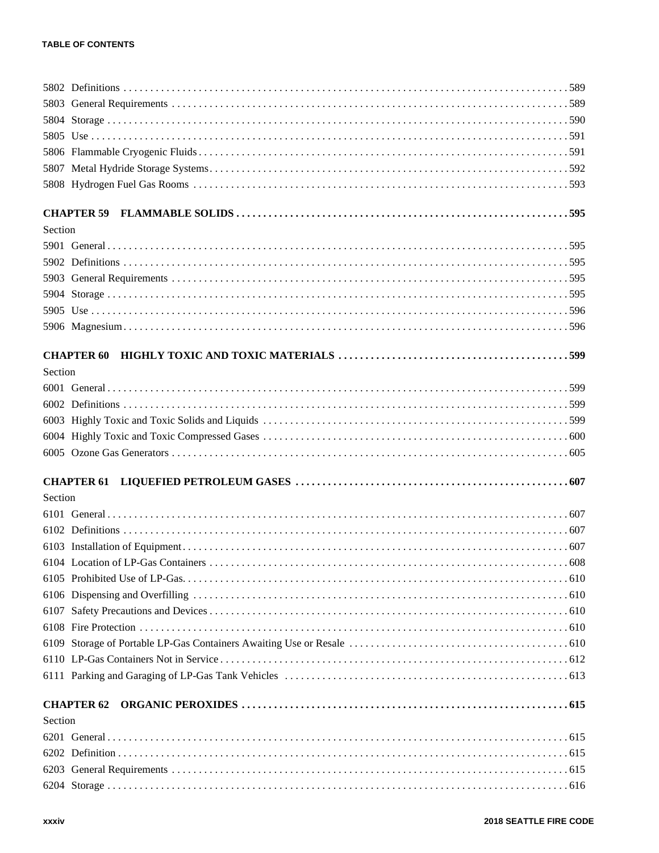| Section |                   |
|---------|-------------------|
|         |                   |
|         |                   |
|         |                   |
|         |                   |
|         |                   |
|         |                   |
|         | <b>CHAPTER 60</b> |
| Section |                   |
|         |                   |
|         |                   |
|         |                   |
|         |                   |
|         |                   |
|         | <b>CHAPTER 61</b> |
| Section |                   |
|         |                   |
|         |                   |
|         |                   |
|         |                   |
|         |                   |
|         |                   |
|         |                   |
|         |                   |
|         |                   |
|         |                   |
|         |                   |
|         |                   |
| Section |                   |
|         |                   |
|         |                   |
|         |                   |
|         |                   |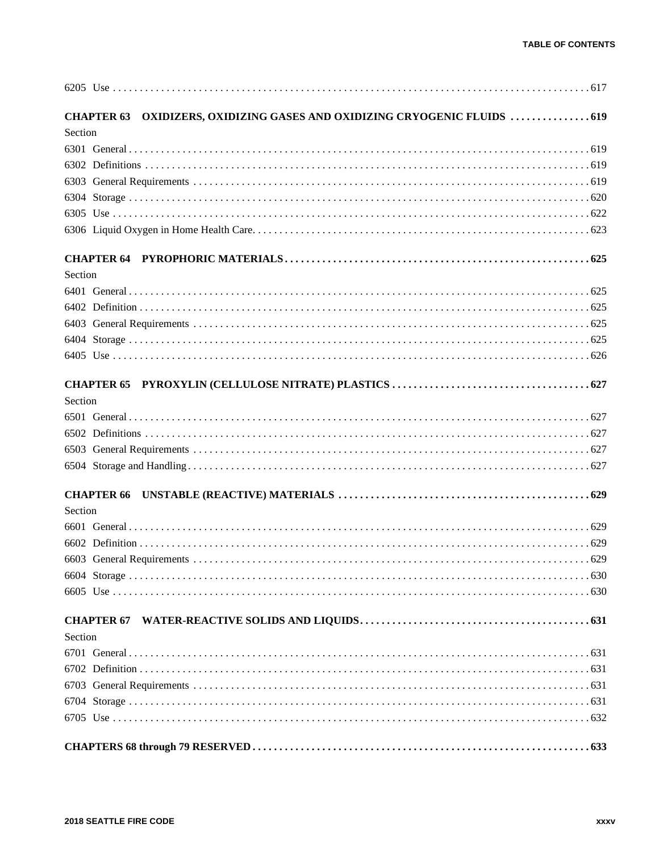| CHAPTER 63 OXIDIZERS, OXIDIZING GASES AND OXIDIZING CRYOGENIC FLUIDS  619 |
|---------------------------------------------------------------------------|
| Section                                                                   |
|                                                                           |
|                                                                           |
|                                                                           |
|                                                                           |
|                                                                           |
|                                                                           |
|                                                                           |
| Section                                                                   |
|                                                                           |
|                                                                           |
|                                                                           |
|                                                                           |
|                                                                           |
|                                                                           |
| Section                                                                   |
|                                                                           |
|                                                                           |
|                                                                           |
|                                                                           |
|                                                                           |
| Section                                                                   |
|                                                                           |
|                                                                           |
|                                                                           |
|                                                                           |
|                                                                           |
|                                                                           |
| Section                                                                   |
|                                                                           |
|                                                                           |
|                                                                           |
|                                                                           |
|                                                                           |
|                                                                           |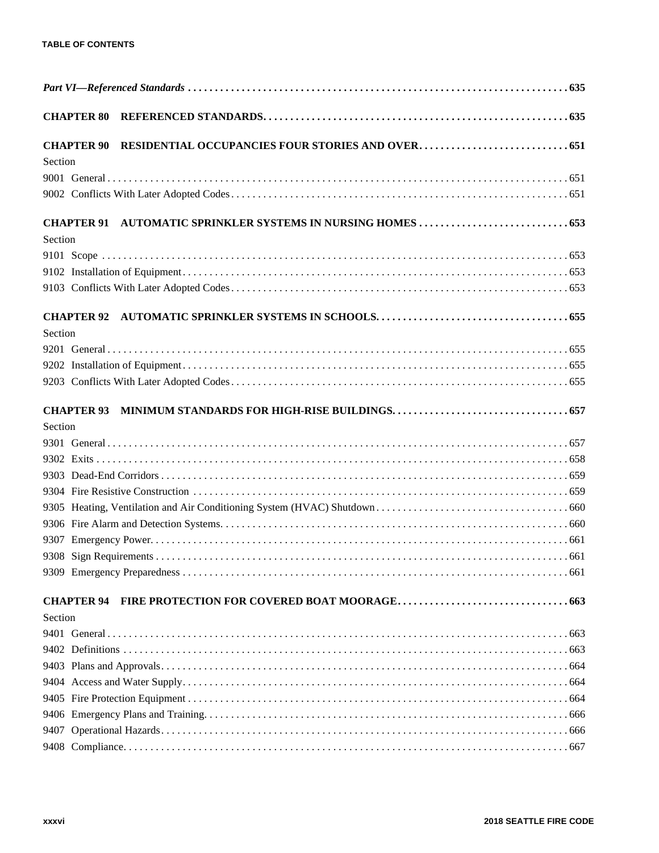| <b>CHAPTER 90</b><br>Section |  |  |
|------------------------------|--|--|
|                              |  |  |
|                              |  |  |
| <b>CHAPTER 91</b><br>Section |  |  |
|                              |  |  |
|                              |  |  |
|                              |  |  |
|                              |  |  |
| <b>CHAPTER 92</b>            |  |  |
| Section                      |  |  |
|                              |  |  |
|                              |  |  |
|                              |  |  |
| <b>CHAPTER 93</b>            |  |  |
| Section                      |  |  |
|                              |  |  |
|                              |  |  |
|                              |  |  |
|                              |  |  |
|                              |  |  |
|                              |  |  |
|                              |  |  |
|                              |  |  |
|                              |  |  |
|                              |  |  |
| Section                      |  |  |
|                              |  |  |
|                              |  |  |
|                              |  |  |
|                              |  |  |
|                              |  |  |
|                              |  |  |
|                              |  |  |
|                              |  |  |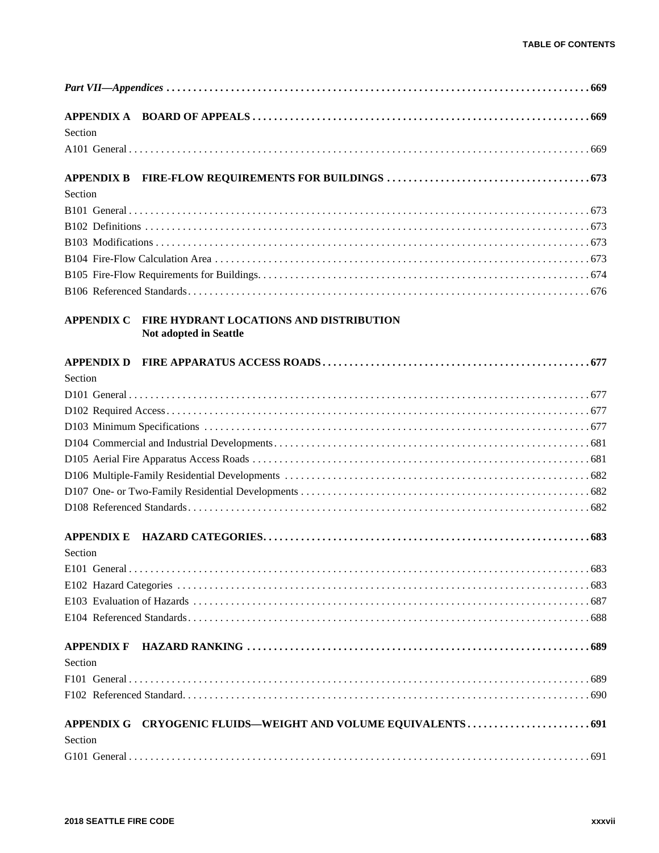| Section           |                                                                   |
|-------------------|-------------------------------------------------------------------|
|                   |                                                                   |
| <b>APPENDIX B</b> |                                                                   |
| Section           |                                                                   |
|                   |                                                                   |
|                   |                                                                   |
|                   |                                                                   |
|                   |                                                                   |
|                   |                                                                   |
|                   |                                                                   |
| <b>APPENDIX C</b> | FIRE HYDRANT LOCATIONS AND DISTRIBUTION<br>Not adopted in Seattle |
| <b>APPENDIX D</b> |                                                                   |
| Section           |                                                                   |
|                   |                                                                   |
|                   |                                                                   |
|                   |                                                                   |
|                   |                                                                   |
|                   |                                                                   |
|                   |                                                                   |
|                   |                                                                   |
|                   |                                                                   |
| <b>APPENDIX E</b> |                                                                   |
| Section           |                                                                   |
|                   |                                                                   |
|                   |                                                                   |
|                   |                                                                   |
|                   |                                                                   |
|                   |                                                                   |
| Section           |                                                                   |
|                   |                                                                   |
|                   |                                                                   |
|                   |                                                                   |
| Section           |                                                                   |
|                   |                                                                   |